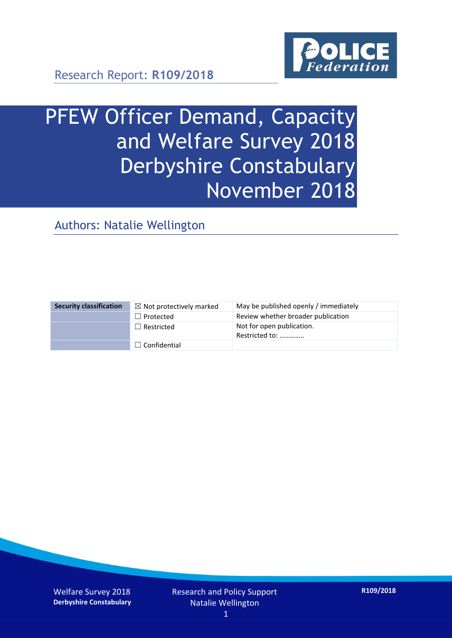

Research Report: **R109/2018**

# PFEW Officer Demand, Capacity and Welfare Survey 2018 Derbyshire Constabulary November 2018

Authors: Natalie Wellington

| <b>Security classification</b> | $\boxtimes$ Not protectively marked | May be published openly / immediately       |
|--------------------------------|-------------------------------------|---------------------------------------------|
|                                | $\Box$ Protected                    | Review whether broader publication          |
|                                | $\Box$ Restricted                   | Not for open publication.<br>Restricted to: |
|                                | $\Box$ Confidential                 |                                             |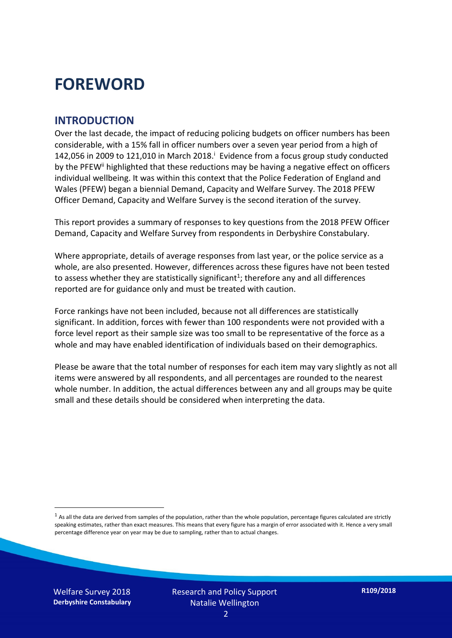### **FOREWORD**

#### **INTRODUCTION**

Over the last decade, the impact of reducing policing budgets on officer numbers has been considerable, with a 15% fall in officer numbers over a seven year period from a high of 142,056 in 2009 to 121,010 in March 2018. $^{\mathrm{i}}$  Evidence from a focus group study conducted by the PFEW<sup>ii</sup> highlighted that these reductions may be having a negative effect on officers individual wellbeing. It was within this context that the Police Federation of England and Wales (PFEW) began a biennial Demand, Capacity and Welfare Survey. The 2018 PFEW Officer Demand, Capacity and Welfare Survey is the second iteration of the survey.

This report provides a summary of responses to key questions from the 2018 PFEW Officer Demand, Capacity and Welfare Survey from respondents in Derbyshire Constabulary.

Where appropriate, details of average responses from last year, or the police service as a whole, are also presented. However, differences across these figures have not been tested to assess whether they are statistically significant<sup>1</sup>; therefore any and all differences reported are for guidance only and must be treated with caution.

Force rankings have not been included, because not all differences are statistically significant. In addition, forces with fewer than 100 respondents were not provided with a force level report as their sample size was too small to be representative of the force as a whole and may have enabled identification of individuals based on their demographics.

Please be aware that the total number of responses for each item may vary slightly as not all items were answered by all respondents, and all percentages are rounded to the nearest whole number. In addition, the actual differences between any and all groups may be quite small and these details should be considered when interpreting the data.

 $<sup>1</sup>$  As all the data are derived from samples of the population, rather than the whole population, percentage figures calculated are strictly</sup> speaking estimates, rather than exact measures. This means that every figure has a margin of error associated with it. Hence a very small percentage difference year on year may be due to sampling, rather than to actual changes.

Welfare Survey 2018 **Derbyshire Constabulary**

-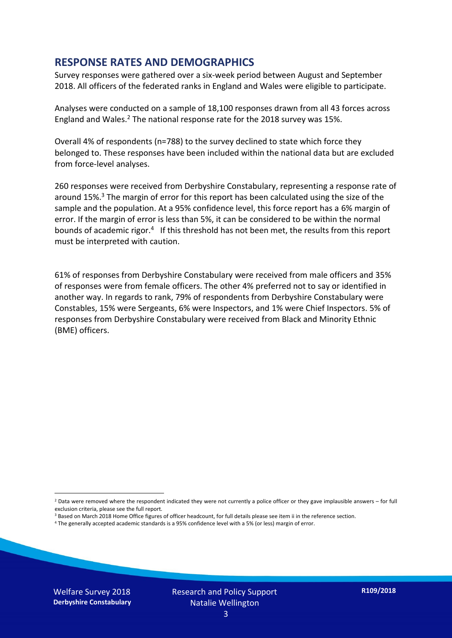#### **RESPONSE RATES AND DEMOGRAPHICS**

Survey responses were gathered over a six-week period between August and September 2018. All officers of the federated ranks in England and Wales were eligible to participate.

Analyses were conducted on a sample of 18,100 responses drawn from all 43 forces across England and Wales.<sup>2</sup> The national response rate for the 2018 survey was 15%.

Overall 4% of respondents (n=788) to the survey declined to state which force they belonged to. These responses have been included within the national data but are excluded from force-level analyses.

260 responses were received from Derbyshire Constabulary, representing a response rate of around 15%. <sup>3</sup> The margin of error for this report has been calculated using the size of the sample and the population. At a 95% confidence level, this force report has a 6% margin of error. If the margin of error is less than 5%, it can be considered to be within the normal bounds of academic rigor.<sup>4</sup> If this threshold has not been met, the results from this report must be interpreted with caution.

61% of responses from Derbyshire Constabulary were received from male officers and 35% of responses were from female officers. The other 4% preferred not to say or identified in another way. In regards to rank, 79% of respondents from Derbyshire Constabulary were Constables, 15% were Sergeants, 6% were Inspectors, and 1% were Chief Inspectors. 5% of responses from Derbyshire Constabulary were received from Black and Minority Ethnic (BME) officers.

-

 $2$  Data were removed where the respondent indicated they were not currently a police officer or they gave implausible answers – for full exclusion criteria, please see the full report.

<sup>3</sup> Based on March 2018 Home Office figures of officer headcount, for full details please see item ii in the reference section.

<sup>4</sup> The generally accepted academic standards is a 95% confidence level with a 5% (or less) margin of error.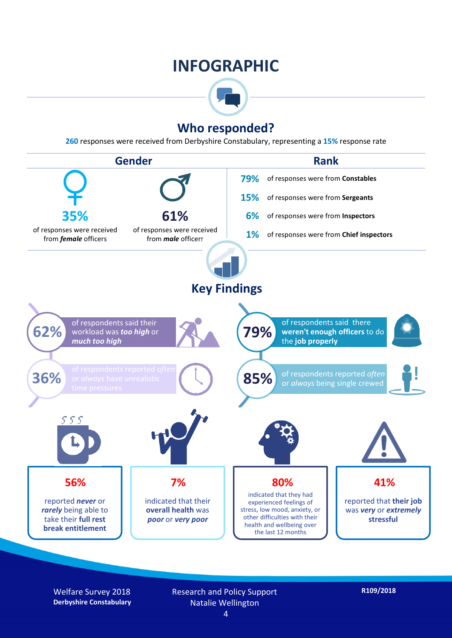### **INFOGRAPHIC**



#### **Who responded?**

**260** responses were received from Derbyshire Constabulary, representing a **15%** response rate



Welfare Survey 2018 **Derbyshire Constabulary** Research and Policy Support Natalie Wellington

**R109/2018**

4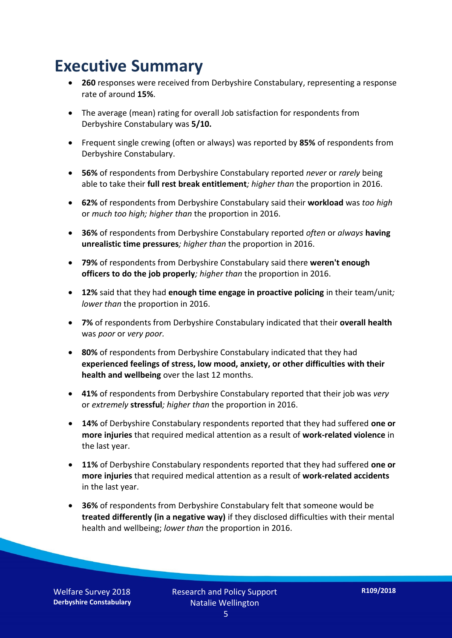### **Executive Summary**

- **260** responses were received from Derbyshire Constabulary, representing a response rate of around **15%**.
- The average (mean) rating for overall Job satisfaction for respondents from Derbyshire Constabulary was **5/10.**
- Frequent single crewing (often or always) was reported by **85%** of respondents from Derbyshire Constabulary.
- **56%** of respondents from Derbyshire Constabulary reported *never* or *rarely* being able to take their **full rest break entitlement***; higher than* the proportion in 2016.
- **62%** of respondents from Derbyshire Constabulary said their **workload** was *too high* or *much too high; higher than* the proportion in 2016.
- **36%** of respondents from Derbyshire Constabulary reported *often* or *always* **having unrealistic time pressures***; higher than* the proportion in 2016.
- **79%** of respondents from Derbyshire Constabulary said there **weren't enough officers to do the job properly***; higher than* the proportion in 2016.
- **12%** said that they had **enough time engage in proactive policing** in their team/unit*; lower than* the proportion in 2016.
- **7%** of respondents from Derbyshire Constabulary indicated that their **overall health** was *poor* or *very poor.*
- **80%** of respondents from Derbyshire Constabulary indicated that they had **experienced feelings of stress, low mood, anxiety, or other difficulties with their health and wellbeing** over the last 12 months.
- **41%** of respondents from Derbyshire Constabulary reported that their job was *very*  or *extremely* **stressful***; higher than* the proportion in 2016.
- **14%** of Derbyshire Constabulary respondents reported that they had suffered **one or more injuries** that required medical attention as a result of **work-related violence** in the last year.
- **11%** of Derbyshire Constabulary respondents reported that they had suffered **one or more injuries** that required medical attention as a result of **work-related accidents**  in the last year.
- **36%** of respondents from Derbyshire Constabulary felt that someone would be **treated differently (in a negative way)** if they disclosed difficulties with their mental health and wellbeing; *lower than* the proportion in 2016.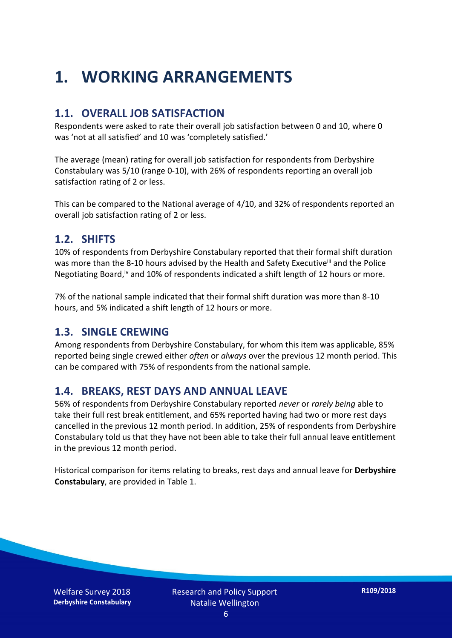## **1. WORKING ARRANGEMENTS**

#### **1.1. OVERALL JOB SATISFACTION**

Respondents were asked to rate their overall job satisfaction between 0 and 10, where 0 was 'not at all satisfied' and 10 was 'completely satisfied.'

The average (mean) rating for overall job satisfaction for respondents from Derbyshire Constabulary was 5/10 (range 0-10), with 26% of respondents reporting an overall job satisfaction rating of 2 or less.

This can be compared to the National average of 4/10, and 32% of respondents reported an overall job satisfaction rating of 2 or less.

#### **1.2. SHIFTS**

10% of respondents from Derbyshire Constabulary reported that their formal shift duration was more than the 8-10 hours advised by the Health and Safety Executive<sup>iii</sup> and the Police Negotiating Board,<sup>iv</sup> and 10% of respondents indicated a shift length of 12 hours or more.

7% of the national sample indicated that their formal shift duration was more than 8-10 hours, and 5% indicated a shift length of 12 hours or more.

#### **1.3. SINGLE CREWING**

Among respondents from Derbyshire Constabulary, for whom this item was applicable, 85% reported being single crewed either *often* or *always* over the previous 12 month period. This can be compared with 75% of respondents from the national sample.

#### **1.4. BREAKS, REST DAYS AND ANNUAL LEAVE**

56% of respondents from Derbyshire Constabulary reported *never* or *rarely being* able to take their full rest break entitlement, and 65% reported having had two or more rest days cancelled in the previous 12 month period. In addition, 25% of respondents from Derbyshire Constabulary told us that they have not been able to take their full annual leave entitlement in the previous 12 month period.

Historical comparison for items relating to breaks, rest days and annual leave for **Derbyshire Constabulary**, are provided in Table 1.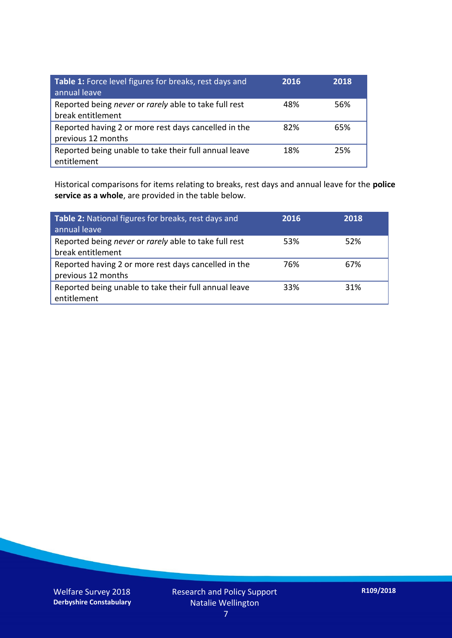| Table 1: Force level figures for breaks, rest days and<br>annual leave     | 2016 | 2018 |
|----------------------------------------------------------------------------|------|------|
| Reported being never or rarely able to take full rest<br>break entitlement | 48%  | 56%  |
| Reported having 2 or more rest days cancelled in the<br>previous 12 months | 82%  | 65%  |
| Reported being unable to take their full annual leave<br>entitlement       | 18%  | 25%  |

Historical comparisons for items relating to breaks, rest days and annual leave for the **police service as a whole**, are provided in the table below.

| Table 2: National figures for breaks, rest days and<br>annual leave        | 2016 | 2018 |
|----------------------------------------------------------------------------|------|------|
| Reported being never or rarely able to take full rest<br>break entitlement | 53%  | 52%  |
| Reported having 2 or more rest days cancelled in the<br>previous 12 months | 76%  | 67%  |
| Reported being unable to take their full annual leave<br>entitlement       | 33%  | 31%  |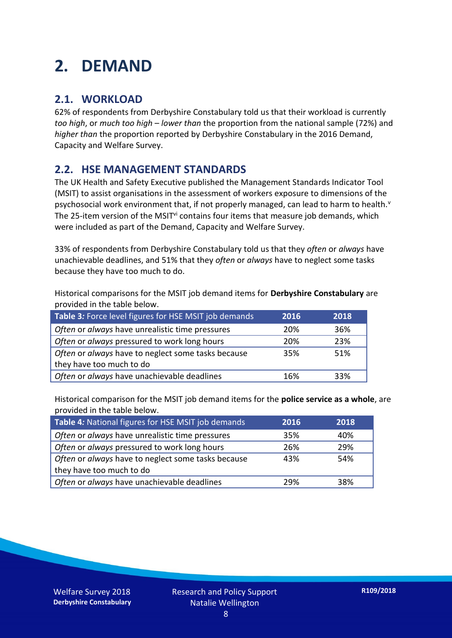## **2. DEMAND**

#### **2.1. WORKLOAD**

62% of respondents from Derbyshire Constabulary told us that their workload is currently *too high*, or *much too high* – *lower than* the proportion from the national sample (72%) and *higher than* the proportion reported by Derbyshire Constabulary in the 2016 Demand, Capacity and Welfare Survey.

#### **2.2. HSE MANAGEMENT STANDARDS**

The UK Health and Safety Executive published the Management Standards Indicator Tool (MSIT) to assist organisations in the assessment of workers exposure to dimensions of the psychosocial work environment that, if not properly managed, can lead to harm to health.<sup>v</sup> The 25-item version of the MSIT<sup>vi</sup> contains four items that measure job demands, which were included as part of the Demand, Capacity and Welfare Survey.

33% of respondents from Derbyshire Constabulary told us that they *often* or *always* have unachievable deadlines, and 51% that they *often* or *always* have to neglect some tasks because they have too much to do.

Historical comparisons for the MSIT job demand items for **Derbyshire Constabulary** are provided in the table below.

| Table 3: Force level figures for HSE MSIT job demands | 2016 | 2018 |
|-------------------------------------------------------|------|------|
| Often or always have unrealistic time pressures       | 20%  | 36%  |
| Often or always pressured to work long hours          | 20%  | 23%  |
| Often or always have to neglect some tasks because    | 35%  | 51%  |
| they have too much to do                              |      |      |
| Often or always have unachievable deadlines           | 16%  | 33%  |

Historical comparison for the MSIT job demand items for the **police service as a whole**, are provided in the table below.

| Table 4: National figures for HSE MSIT job demands | 2016 | 2018 |
|----------------------------------------------------|------|------|
| Often or always have unrealistic time pressures    | 35%  | 40%  |
| Often or always pressured to work long hours       | 26%  | 29%  |
| Often or always have to neglect some tasks because | 43%  | 54%  |
| they have too much to do                           |      |      |
| Often or always have unachievable deadlines        | 29%  | 38%  |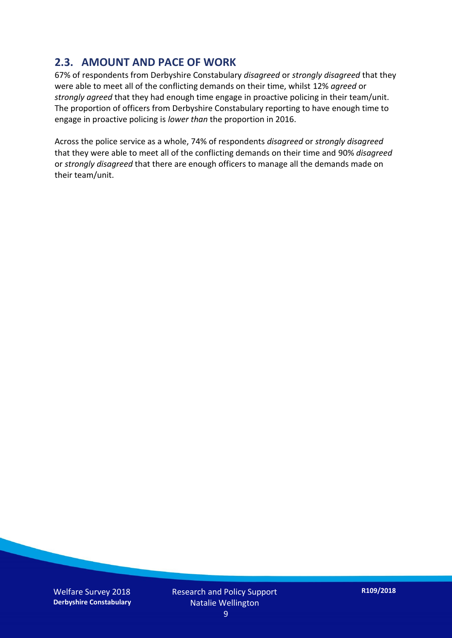#### **2.3. AMOUNT AND PACE OF WORK**

67% of respondents from Derbyshire Constabulary *disagreed* or *strongly disagreed* that they were able to meet all of the conflicting demands on their time, whilst 12% *agreed* or *strongly agreed* that they had enough time engage in proactive policing in their team/unit. The proportion of officers from Derbyshire Constabulary reporting to have enough time to engage in proactive policing is *lower than* the proportion in 2016.

Across the police service as a whole, 74% of respondents *disagreed* or *strongly disagreed* that they were able to meet all of the conflicting demands on their time and 90% *disagreed* or *strongly disagreed* that there are enough officers to manage all the demands made on their team/unit.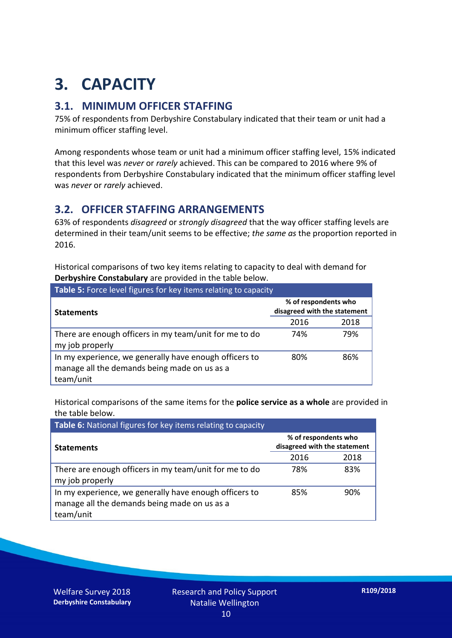## **3. CAPACITY**

#### **3.1. MINIMUM OFFICER STAFFING**

75% of respondents from Derbyshire Constabulary indicated that their team or unit had a minimum officer staffing level.

Among respondents whose team or unit had a minimum officer staffing level, 15% indicated that this level was *never* or *rarely* achieved. This can be compared to 2016 where 9% of respondents from Derbyshire Constabulary indicated that the minimum officer staffing level was *never* or *rarely* achieved.

#### **3.2. OFFICER STAFFING ARRANGEMENTS**

63% of respondents *disagreed* or *strongly disagreed* that the way officer staffing levels are determined in their team/unit seems to be effective; *the same as* the proportion reported in 2016.

Historical comparisons of two key items relating to capacity to deal with demand for **Derbyshire Constabulary** are provided in the table below.

| Table 5: Force level figures for key items relating to capacity                                                     |                                                      |      |  |
|---------------------------------------------------------------------------------------------------------------------|------------------------------------------------------|------|--|
| <b>Statements</b>                                                                                                   | % of respondents who<br>disagreed with the statement |      |  |
|                                                                                                                     | 2016                                                 | 2018 |  |
| There are enough officers in my team/unit for me to do<br>my job properly                                           | 74%                                                  | 79%  |  |
| In my experience, we generally have enough officers to<br>manage all the demands being made on us as a<br>team/unit | 80%                                                  | 86%  |  |

Historical comparisons of the same items for the **police service as a whole** are provided in the table below.

| Table 6: National figures for key items relating to capacity                                                        |                                                      |      |  |  |
|---------------------------------------------------------------------------------------------------------------------|------------------------------------------------------|------|--|--|
| <b>Statements</b>                                                                                                   | % of respondents who<br>disagreed with the statement |      |  |  |
|                                                                                                                     | 2016                                                 | 2018 |  |  |
| There are enough officers in my team/unit for me to do<br>my job properly                                           | 78%                                                  | 83%  |  |  |
| In my experience, we generally have enough officers to<br>manage all the demands being made on us as a<br>team/unit | 85%                                                  | 90%  |  |  |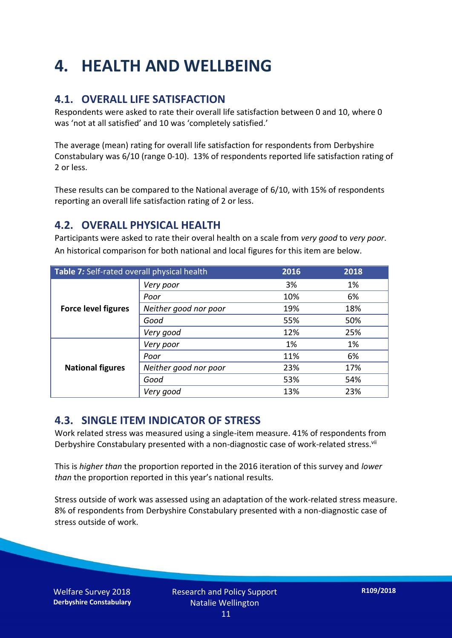## **4. HEALTH AND WELLBEING**

#### **4.1. OVERALL LIFE SATISFACTION**

Respondents were asked to rate their overall life satisfaction between 0 and 10, where 0 was 'not at all satisfied' and 10 was 'completely satisfied.'

The average (mean) rating for overall life satisfaction for respondents from Derbyshire Constabulary was 6/10 (range 0-10). 13% of respondents reported life satisfaction rating of 2 or less.

These results can be compared to the National average of 6/10, with 15% of respondents reporting an overall life satisfaction rating of 2 or less.

#### **4.2. OVERALL PHYSICAL HEALTH**

Participants were asked to rate their overal health on a scale from *very good* to *very poor*. An historical comparison for both national and local figures for this item are below.

| Table 7: Self-rated overall physical health |                       | 2016 | 2018 |
|---------------------------------------------|-----------------------|------|------|
| <b>Force level figures</b>                  | Very poor             | 3%   | 1%   |
|                                             | Poor                  | 10%  | 6%   |
|                                             | Neither good nor poor | 19%  | 18%  |
|                                             | Good                  | 55%  | 50%  |
|                                             | Very good             | 12%  | 25%  |
| <b>National figures</b>                     | Very poor             | 1%   | 1%   |
|                                             | Poor                  | 11%  | 6%   |
|                                             | Neither good nor poor | 23%  | 17%  |
|                                             | Good                  | 53%  | 54%  |
|                                             | Very good             | 13%  | 23%  |

#### **4.3. SINGLE ITEM INDICATOR OF STRESS**

Work related stress was measured using a single-item measure. 41% of respondents from Derbyshire Constabulary presented with a non-diagnostic case of work-related stress.<sup>vii</sup>

This is *higher than* the proportion reported in the 2016 iteration of this survey and *lower than* the proportion reported in this year's national results.

Stress outside of work was assessed using an adaptation of the work-related stress measure. 8% of respondents from Derbyshire Constabulary presented with a non-diagnostic case of stress outside of work.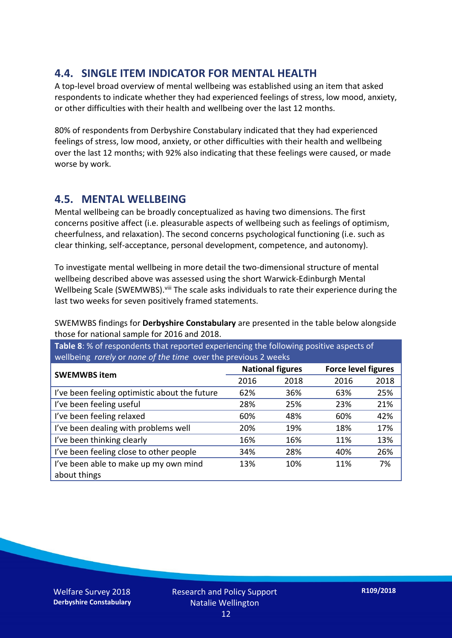#### **4.4. SINGLE ITEM INDICATOR FOR MENTAL HEALTH**

A top-level broad overview of mental wellbeing was established using an item that asked respondents to indicate whether they had experienced feelings of stress, low mood, anxiety, or other difficulties with their health and wellbeing over the last 12 months.

80% of respondents from Derbyshire Constabulary indicated that they had experienced feelings of stress, low mood, anxiety, or other difficulties with their health and wellbeing over the last 12 months; with 92% also indicating that these feelings were caused, or made worse by work.

#### **4.5. MENTAL WELLBEING**

Mental wellbeing can be broadly conceptualized as having two dimensions. The first concerns positive affect (i.e. pleasurable aspects of wellbeing such as feelings of optimism, cheerfulness, and relaxation). The second concerns psychological functioning (i.e. such as clear thinking, self-acceptance, personal development, competence, and autonomy).

To investigate mental wellbeing in more detail the two-dimensional structure of mental wellbeing described above was assessed using the short Warwick-Edinburgh Mental Wellbeing Scale (SWEMWBS). viii The scale asks individuals to rate their experience during the last two weeks for seven positively framed statements.

SWEMWBS findings for **Derbyshire Constabulary** are presented in the table below alongside those for national sample for 2016 and 2018.

**Table 8**: % of respondents that reported experiencing the following positive aspects of wellbeing *rarely* or *none of the time* over the previous 2 weeks

| <b>SWEMWBS item</b>                           | <b>National figures</b> |      | <b>Force level figures</b> |      |
|-----------------------------------------------|-------------------------|------|----------------------------|------|
|                                               | 2016                    | 2018 | 2016                       | 2018 |
| I've been feeling optimistic about the future | 62%                     | 36%  | 63%                        | 25%  |
| I've been feeling useful                      | 28%                     | 25%  | 23%                        | 21%  |
| I've been feeling relaxed                     | 60%                     | 48%  | 60%                        | 42%  |
| I've been dealing with problems well          | 20%                     | 19%  | 18%                        | 17%  |
| I've been thinking clearly                    | 16%                     | 16%  | 11%                        | 13%  |
| I've been feeling close to other people       | 34%                     | 28%  | 40%                        | 26%  |
| I've been able to make up my own mind         | 13%                     | 10%  | 11%                        | 7%   |
| about things                                  |                         |      |                            |      |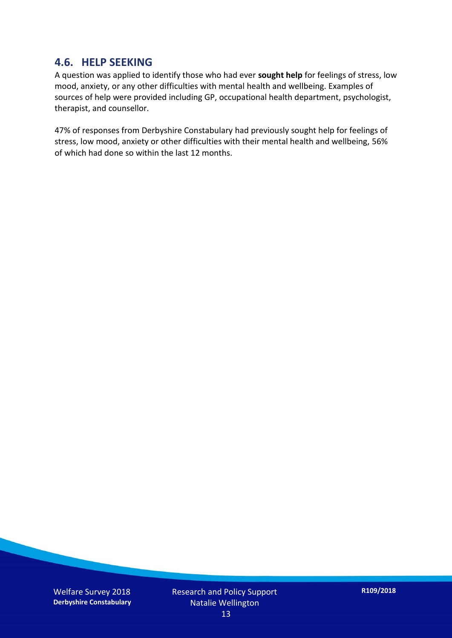#### **4.6. HELP SEEKING**

A question was applied to identify those who had ever **sought help** for feelings of stress, low mood, anxiety, or any other difficulties with mental health and wellbeing. Examples of sources of help were provided including GP, occupational health department, psychologist, therapist, and counsellor.

47% of responses from Derbyshire Constabulary had previously sought help for feelings of stress, low mood, anxiety or other difficulties with their mental health and wellbeing, 56% of which had done so within the last 12 months.

Welfare Survey 2018 **Derbyshire Constabulary** Research and Policy Support Natalie Wellington 13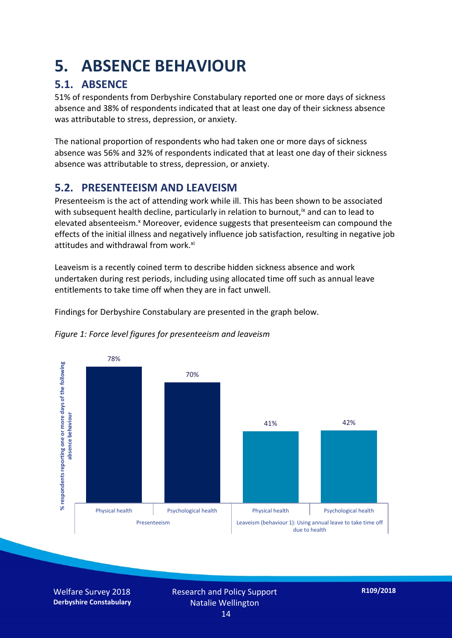## **5. ABSENCE BEHAVIOUR**

#### **5.1. ABSENCE**

51% of respondents from Derbyshire Constabulary reported one or more days of sickness absence and 38% of respondents indicated that at least one day of their sickness absence was attributable to stress, depression, or anxiety.

The national proportion of respondents who had taken one or more days of sickness absence was 56% and 32% of respondents indicated that at least one day of their sickness absence was attributable to stress, depression, or anxiety.

#### **5.2. PRESENTEEISM AND LEAVEISM**

Presenteeism is the act of attending work while ill. This has been shown to be associated with subsequent health decline, particularly in relation to burnout,  $\alpha$  and can to lead to elevated absenteeism.<sup>x</sup> Moreover, evidence suggests that presenteeism can compound the effects of the initial illness and negatively influence job satisfaction, resulting in negative job attitudes and withdrawal from work.<sup>xi</sup>

Leaveism is a recently coined term to describe hidden sickness absence and work undertaken during rest periods, including using allocated time off such as annual leave entitlements to take time off when they are in fact unwell.

Findings for Derbyshire Constabulary are presented in the graph below.



*Figure 1: Force level figures for presenteeism and leaveism*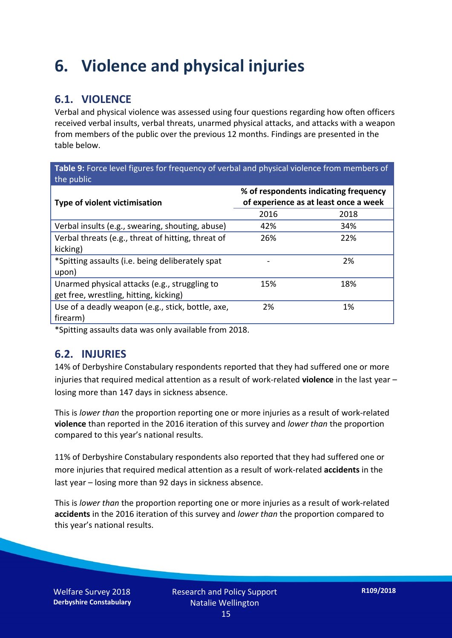### **6. Violence and physical injuries**

#### **6.1. VIOLENCE**

Verbal and physical violence was assessed using four questions regarding how often officers received verbal insults, verbal threats, unarmed physical attacks, and attacks with a weapon from members of the public over the previous 12 months. Findings are presented in the table below.

**Table 9:** Force level figures for frequency of verbal and physical violence from members of the public

| Type of violent victimisation                      | % of respondents indicating frequency<br>of experience as at least once a week |      |  |
|----------------------------------------------------|--------------------------------------------------------------------------------|------|--|
|                                                    | 2016                                                                           | 2018 |  |
| Verbal insults (e.g., swearing, shouting, abuse)   | 42%                                                                            | 34%  |  |
| Verbal threats (e.g., threat of hitting, threat of | 26%                                                                            | 22%  |  |
| kicking)                                           |                                                                                |      |  |
| *Spitting assaults (i.e. being deliberately spat   |                                                                                | 2%   |  |
| upon)                                              |                                                                                |      |  |
| Unarmed physical attacks (e.g., struggling to      | 15%                                                                            | 18%  |  |
| get free, wrestling, hitting, kicking)             |                                                                                |      |  |
| Use of a deadly weapon (e.g., stick, bottle, axe,  | 2%                                                                             | 1%   |  |
| firearm)                                           |                                                                                |      |  |

\*Spitting assaults data was only available from 2018.

#### **6.2. INJURIES**

14% of Derbyshire Constabulary respondents reported that they had suffered one or more injuries that required medical attention as a result of work-related **violence** in the last year – losing more than 147 days in sickness absence.

This is *lower than* the proportion reporting one or more injuries as a result of work-related **violence** than reported in the 2016 iteration of this survey and *lower than* the proportion compared to this year's national results.

11% of Derbyshire Constabulary respondents also reported that they had suffered one or more injuries that required medical attention as a result of work-related **accidents** in the last year – losing more than 92 days in sickness absence.

This is *lower than* the proportion reporting one or more injuries as a result of work-related **accidents** in the 2016 iteration of this survey and *lower than* the proportion compared to this year's national results.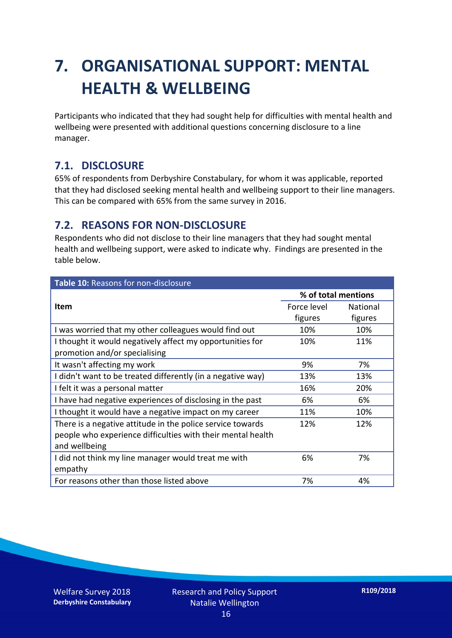## **7. ORGANISATIONAL SUPPORT: MENTAL HEALTH & WELLBEING**

Participants who indicated that they had sought help for difficulties with mental health and wellbeing were presented with additional questions concerning disclosure to a line manager.

#### **7.1. DISCLOSURE**

65% of respondents from Derbyshire Constabulary, for whom it was applicable, reported that they had disclosed seeking mental health and wellbeing support to their line managers. This can be compared with 65% from the same survey in 2016.

#### **7.2. REASONS FOR NON-DISCLOSURE**

Respondents who did not disclose to their line managers that they had sought mental health and wellbeing support, were asked to indicate why. Findings are presented in the table below.

| Table 10: Reasons for non-disclosure                        |                     |                 |  |
|-------------------------------------------------------------|---------------------|-----------------|--|
|                                                             | % of total mentions |                 |  |
| <b>Item</b>                                                 | Force level         | <b>National</b> |  |
|                                                             | figures             | figures         |  |
| I was worried that my other colleagues would find out       | 10%                 | 10%             |  |
| I thought it would negatively affect my opportunities for   | 10%                 | 11%             |  |
| promotion and/or specialising                               |                     |                 |  |
| It wasn't affecting my work                                 | 9%                  | 7%              |  |
| I didn't want to be treated differently (in a negative way) | 13%                 | 13%             |  |
| I felt it was a personal matter                             | 16%                 | 20%             |  |
| I have had negative experiences of disclosing in the past   | 6%                  | 6%              |  |
| I thought it would have a negative impact on my career      | 11%                 | 10%             |  |
| There is a negative attitude in the police service towards  | 12%                 | 12%             |  |
| people who experience difficulties with their mental health |                     |                 |  |
| and wellbeing                                               |                     |                 |  |
| I did not think my line manager would treat me with         | 6%                  | 7%              |  |
| empathy                                                     |                     |                 |  |
| For reasons other than those listed above                   | 7%                  | 4%              |  |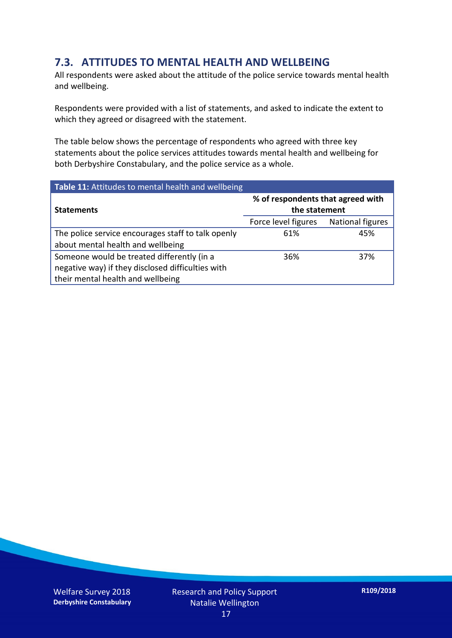#### **7.3. ATTITUDES TO MENTAL HEALTH AND WELLBEING**

All respondents were asked about the attitude of the police service towards mental health and wellbeing.

Respondents were provided with a list of statements, and asked to indicate the extent to which they agreed or disagreed with the statement.

The table below shows the percentage of respondents who agreed with three key statements about the police services attitudes towards mental health and wellbeing for both Derbyshire Constabulary, and the police service as a whole.

| Table 11: Attitudes to mental health and wellbeing |                                                    |                         |  |
|----------------------------------------------------|----------------------------------------------------|-------------------------|--|
| <b>Statements</b>                                  | % of respondents that agreed with<br>the statement |                         |  |
|                                                    | Force level figures                                | <b>National figures</b> |  |
| The police service encourages staff to talk openly | 61%                                                | 45%                     |  |
| about mental health and wellbeing                  |                                                    |                         |  |
| Someone would be treated differently (in a         | 36%                                                | 37%                     |  |
| negative way) if they disclosed difficulties with  |                                                    |                         |  |
| their mental health and wellbeing                  |                                                    |                         |  |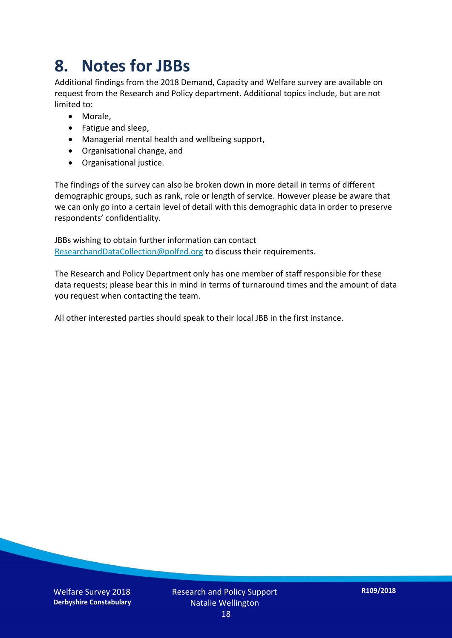### **8. Notes for JBBs**

Additional findings from the 2018 Demand, Capacity and Welfare survey are available on request from the Research and Policy department. Additional topics include, but are not limited to:

- Morale,
- Fatigue and sleep,
- Managerial mental health and wellbeing support,
- Organisational change, and
- Organisational justice.

The findings of the survey can also be broken down in more detail in terms of different demographic groups, such as rank, role or length of service. However please be aware that we can only go into a certain level of detail with this demographic data in order to preserve respondents' confidentiality.

JBBs wishing to obtain further information can contact [ResearchandDataCollection@polfed.org](mailto:ResearchandDataCollection@polfed.org) to discuss their requirements.

The Research and Policy Department only has one member of staff responsible for these data requests; please bear this in mind in terms of turnaround times and the amount of data you request when contacting the team.

All other interested parties should speak to their local JBB in the first instance.